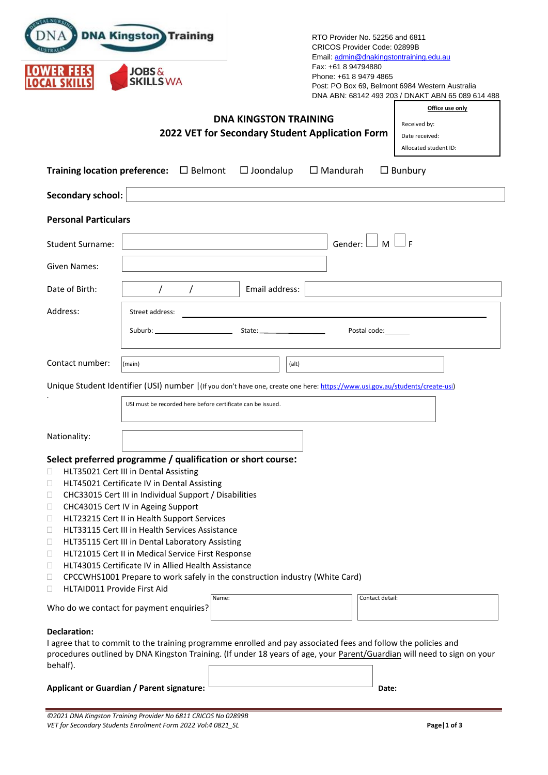|                                                                                                                                          | <b>DNA Kingston</b> Training<br><b>JOBS&amp;</b><br><b>SKILLSWA</b>                                                                                                                                                                                                                                                                                                                                                                                                                                                                                                    |                              | RTO Provider No. 52256 and 6811<br>CRICOS Provider Code: 02899B<br>Email: admin@dnakingstontraining.edu.au<br>Fax: +61 8 94794880<br>Phone: +61 8 9479 4865 | Post: PO Box 69, Belmont 6984 Western Australia<br>DNA ABN: 68142 493 203 / DNAKT ABN 65 089 614 488                    |
|------------------------------------------------------------------------------------------------------------------------------------------|------------------------------------------------------------------------------------------------------------------------------------------------------------------------------------------------------------------------------------------------------------------------------------------------------------------------------------------------------------------------------------------------------------------------------------------------------------------------------------------------------------------------------------------------------------------------|------------------------------|-------------------------------------------------------------------------------------------------------------------------------------------------------------|-------------------------------------------------------------------------------------------------------------------------|
|                                                                                                                                          |                                                                                                                                                                                                                                                                                                                                                                                                                                                                                                                                                                        | <b>DNA KINGSTON TRAINING</b> |                                                                                                                                                             | Office use only                                                                                                         |
|                                                                                                                                          |                                                                                                                                                                                                                                                                                                                                                                                                                                                                                                                                                                        |                              | 2022 VET for Secondary Student Application Form                                                                                                             | Received by:<br>Date received:                                                                                          |
|                                                                                                                                          |                                                                                                                                                                                                                                                                                                                                                                                                                                                                                                                                                                        |                              |                                                                                                                                                             | Allocated student ID:                                                                                                   |
|                                                                                                                                          | Training location preference: $\Box$ Belmont                                                                                                                                                                                                                                                                                                                                                                                                                                                                                                                           | $\Box$ Joondalup             | $\Box$ Mandurah                                                                                                                                             | $\Box$ Bunbury                                                                                                          |
| <b>Secondary school:</b>                                                                                                                 |                                                                                                                                                                                                                                                                                                                                                                                                                                                                                                                                                                        |                              |                                                                                                                                                             |                                                                                                                         |
| <b>Personal Particulars</b>                                                                                                              |                                                                                                                                                                                                                                                                                                                                                                                                                                                                                                                                                                        |                              |                                                                                                                                                             |                                                                                                                         |
| <b>Student Surname:</b>                                                                                                                  |                                                                                                                                                                                                                                                                                                                                                                                                                                                                                                                                                                        |                              | $\blacksquare$ M<br>Gender:                                                                                                                                 |                                                                                                                         |
| <b>Given Names:</b>                                                                                                                      |                                                                                                                                                                                                                                                                                                                                                                                                                                                                                                                                                                        |                              |                                                                                                                                                             |                                                                                                                         |
| Date of Birth:                                                                                                                           | $\prime$                                                                                                                                                                                                                                                                                                                                                                                                                                                                                                                                                               | Email address:               |                                                                                                                                                             |                                                                                                                         |
| Address:                                                                                                                                 | Street address:                                                                                                                                                                                                                                                                                                                                                                                                                                                                                                                                                        |                              |                                                                                                                                                             |                                                                                                                         |
|                                                                                                                                          | Suburb: ________________________                                                                                                                                                                                                                                                                                                                                                                                                                                                                                                                                       |                              | Postal code: <u>_______</u>                                                                                                                                 |                                                                                                                         |
| Contact number:                                                                                                                          | (main)                                                                                                                                                                                                                                                                                                                                                                                                                                                                                                                                                                 | (alt)                        |                                                                                                                                                             |                                                                                                                         |
|                                                                                                                                          | Unique Student Identifier (USI) number   (If you don't have one, create one here: https://www.usi.gov.au/students/create-usi)                                                                                                                                                                                                                                                                                                                                                                                                                                          |                              |                                                                                                                                                             |                                                                                                                         |
|                                                                                                                                          | USI must be recorded here before certificate can be issued.                                                                                                                                                                                                                                                                                                                                                                                                                                                                                                            |                              |                                                                                                                                                             |                                                                                                                         |
| Nationality:                                                                                                                             |                                                                                                                                                                                                                                                                                                                                                                                                                                                                                                                                                                        |                              |                                                                                                                                                             |                                                                                                                         |
| HLT35021 Cert III in Dental Assisting<br>П.<br>u<br>Н<br>u<br>□<br>□<br>□<br>□<br>$\Box$<br>□<br><b>HLTAID011 Provide First Aid</b><br>□ | Select preferred programme / qualification or short course:<br>HLT45021 Certificate IV in Dental Assisting<br>CHC33015 Cert III in Individual Support / Disabilities<br>CHC43015 Cert IV in Ageing Support<br>HLT23215 Cert II in Health Support Services<br>HLT33115 Cert III in Health Services Assistance<br>HLT35115 Cert III in Dental Laboratory Assisting<br>HLT21015 Cert II in Medical Service First Response<br>HLT43015 Certificate IV in Allied Health Assistance<br>CPCCWHS1001 Prepare to work safely in the construction industry (White Card)<br>Name: |                              | Contact detail:                                                                                                                                             |                                                                                                                         |
| Who do we contact for payment enquiries?                                                                                                 |                                                                                                                                                                                                                                                                                                                                                                                                                                                                                                                                                                        |                              |                                                                                                                                                             |                                                                                                                         |
| <b>Declaration:</b><br>behalf).<br><b>Applicant or Guardian / Parent signature:</b>                                                      | I agree that to commit to the training programme enrolled and pay associated fees and follow the policies and                                                                                                                                                                                                                                                                                                                                                                                                                                                          |                              | Date:                                                                                                                                                       | procedures outlined by DNA Kingston Training. (If under 18 years of age, your Parent/Guardian will need to sign on your |

*©2021 DNA Kingston Training Provider No 6811 CRICOS No 02899B VET for Secondary Students Enrolment Form 2022 Vol:4 0821\_SL* **Page|1 of 3**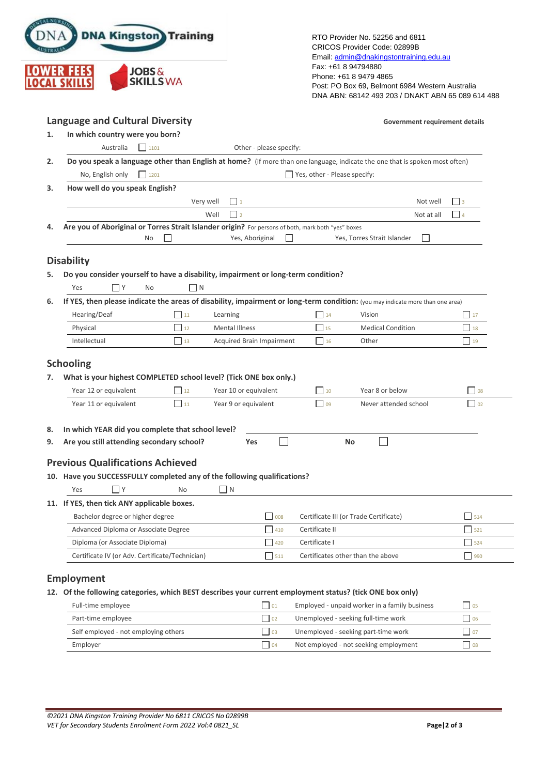| <b>DNA</b>        | <b>DNA Kingston</b> Training         |
|-------------------|--------------------------------------|
| <b>LOWER FEES</b> | <b>JOBS&amp;</b><br><b>SKILLS WA</b> |

RTO Provider No. 52256 and 6811 CRICOS Provider Code: 02899B Email[: admin@dnakingstontraining.edu.au](mailto:admin@dnakingstontraining.edu.au) Fax: +61 8 94794880 Phone: +61 8 9479 4865 Post: PO Box 69, Belmont 6984 Western Australia DNA ABN: 68142 493 203 / DNAKT ABN 65 089 614 488

| <b>Language and Cultural Diversity</b><br>In which country were you born?                                                                                                                             |                                      |                                               |                           |                                  |                                                                                                                                          | Government requirement details |
|-------------------------------------------------------------------------------------------------------------------------------------------------------------------------------------------------------|--------------------------------------|-----------------------------------------------|---------------------------|----------------------------------|------------------------------------------------------------------------------------------------------------------------------------------|--------------------------------|
| Australia                                                                                                                                                                                             | 1101                                 |                                               | Other - please specify:   |                                  |                                                                                                                                          |                                |
|                                                                                                                                                                                                       |                                      |                                               |                           |                                  |                                                                                                                                          |                                |
| Do you speak a language other than English at home? (if more than one language, indicate the one that is spoken most often)<br>$\Box$ 1201<br>$\Box$ Yes, other - Please specify:<br>No, English only |                                      |                                               |                           |                                  |                                                                                                                                          |                                |
| How well do you speak English?                                                                                                                                                                        |                                      |                                               |                           |                                  |                                                                                                                                          |                                |
|                                                                                                                                                                                                       |                                      | Very well<br>$\Box$ 1                         |                           |                                  | Not well                                                                                                                                 | $ $ 3                          |
|                                                                                                                                                                                                       |                                      | $\Box$ 2<br>Well                              |                           |                                  | Not at all                                                                                                                               | $\Box$ 4                       |
| Are you of Aboriginal or Torres Strait Islander origin? For persons of both, mark both "yes" boxes                                                                                                    |                                      |                                               |                           |                                  |                                                                                                                                          |                                |
|                                                                                                                                                                                                       | No                                   |                                               | Yes, Aboriginal           |                                  | Yes, Torres Strait Islander<br>$\overline{\phantom{a}}$                                                                                  |                                |
|                                                                                                                                                                                                       |                                      |                                               |                           |                                  |                                                                                                                                          |                                |
| <b>Disability</b>                                                                                                                                                                                     |                                      |                                               |                           |                                  |                                                                                                                                          |                                |
| Do you consider yourself to have a disability, impairment or long-term condition?                                                                                                                     |                                      |                                               |                           |                                  |                                                                                                                                          |                                |
| $\Box$ Y<br>Yes                                                                                                                                                                                       | <b>No</b>                            | ∐ N                                           |                           |                                  |                                                                                                                                          |                                |
| Hearing/Deaf                                                                                                                                                                                          | $\vert$ 11                           | Learning                                      |                           | 14                               | If YES, then please indicate the areas of disability, impairment or long-term condition: (you may indicate more than one area)<br>Vision | $\frac{1}{2}$                  |
|                                                                                                                                                                                                       |                                      |                                               |                           | $\Box$ 15                        | <b>Medical Condition</b>                                                                                                                 |                                |
|                                                                                                                                                                                                       |                                      |                                               |                           |                                  |                                                                                                                                          |                                |
| Physical<br>Intellectual                                                                                                                                                                              | $\Box$ 12<br>$\Box$ 13               | Mental Illness                                | Acquired Brain Impairment | $\Box$ 16                        | Other                                                                                                                                    | $\vert$ 19                     |
| <b>Schooling</b><br>What is your highest COMPLETED school level? (Tick ONE box only.)                                                                                                                 |                                      |                                               |                           | $\vert$ 10                       | Year 8 or below                                                                                                                          |                                |
| Year 12 or equivalent<br>Year 11 or equivalent                                                                                                                                                        | $\Box$ 12<br>$\Box$ 11               | Year 10 or equivalent<br>Year 9 or equivalent |                           | $\begin{array}{c} \n\end{array}$ | Never attended school                                                                                                                    | $\Box$ 08<br>$\Box$ 02         |
|                                                                                                                                                                                                       |                                      |                                               |                           |                                  |                                                                                                                                          |                                |
| In which YEAR did you complete that school level?                                                                                                                                                     |                                      |                                               |                           |                                  |                                                                                                                                          |                                |
| Are you still attending secondary school?                                                                                                                                                             |                                      |                                               | <b>Yes</b>                |                                  | <b>No</b>                                                                                                                                |                                |
|                                                                                                                                                                                                       |                                      |                                               |                           |                                  |                                                                                                                                          |                                |
|                                                                                                                                                                                                       |                                      |                                               |                           |                                  |                                                                                                                                          |                                |
| $\Box$ Y<br>Yes                                                                                                                                                                                       | No                                   | $\Box$ N                                      |                           |                                  |                                                                                                                                          |                                |
|                                                                                                                                                                                                       |                                      |                                               |                           |                                  |                                                                                                                                          |                                |
| Bachelor degree or higher degree                                                                                                                                                                      |                                      |                                               | $\vert$ 008               |                                  | Certificate III (or Trade Certificate)                                                                                                   | 514                            |
| <b>Previous Qualifications Achieved</b><br>10. Have you SUCCESSFULLY completed any of the following qualifications?<br>11. If YES, then tick ANY applicable boxes.                                    | Advanced Diploma or Associate Degree |                                               | $\Box$ 410                | Certificate II                   |                                                                                                                                          | $\Box$ 521                     |
| Diploma (or Associate Diploma)                                                                                                                                                                        |                                      |                                               | $\frac{1}{2}$ 420         | Certificate I                    |                                                                                                                                          | $\Box$ 524                     |

| Full-time employee                   | 01          | Employed - unpaid worker in a family business | $\overline{05}$ |
|--------------------------------------|-------------|-----------------------------------------------|-----------------|
| Part-time employee                   | $\sqrt{02}$ | Unemployed - seeking full-time work           | $\overline{0}$  |
| Self employed - not employing others | 03          | Unemployed - seeking part-time work           | 107             |
| Employer                             | 04          | Not employed - not seeking employment         | $\overline{08}$ |